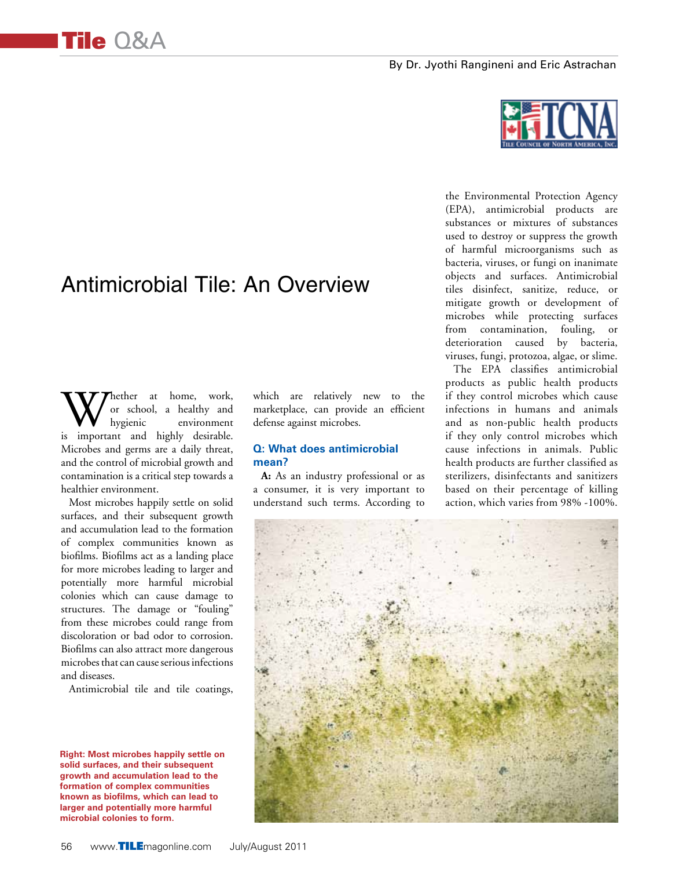



# Antimicrobial Tile: An Overview

Wester at home, work,<br>
is important and highly desirable. or school, a healthy and hygienic environment Microbes and germs are a daily threat, and the control of microbial growth and contamination is a critical step towards a healthier environment.

Most microbes happily settle on solid surfaces, and their subsequent growth and accumulation lead to the formation of complex communities known as biofilms. Biofilms act as a landing place for more microbes leading to larger and potentially more harmful microbial colonies which can cause damage to structures. The damage or "fouling" from these microbes could range from discoloration or bad odor to corrosion. Biofilms can also attract more dangerous microbes that can cause serious infections and diseases.

Antimicrobial tile and tile coatings,

**Right: Most microbes happily settle on solid surfaces, and their subsequent growth and accumulation lead to the formation of complex communities known as biofilms, which can lead to larger and potentially more harmful microbial colonies to form.** 

which are relatively new to the marketplace, can provide an efficient defense against microbes.

#### **Q: What does antimicrobial mean?**

**A:** As an industry professional or as a consumer, it is very important to understand such terms. According to the Environmental Protection Agency (EPA), antimicrobial products are substances or mixtures of substances used to destroy or suppress the growth of harmful microorganisms such as bacteria, viruses, or fungi on inanimate objects and surfaces. Antimicrobial tiles disinfect, sanitize, reduce, or mitigate growth or development of microbes while protecting surfaces from contamination, fouling, or deterioration caused by bacteria, viruses, fungi, protozoa, algae, or slime.

The EPA classifies antimicrobial products as public health products if they control microbes which cause infections in humans and animals and as non-public health products if they only control microbes which cause infections in animals. Public health products are further classified as sterilizers, disinfectants and sanitizers based on their percentage of killing action, which varies from 98% -100%.

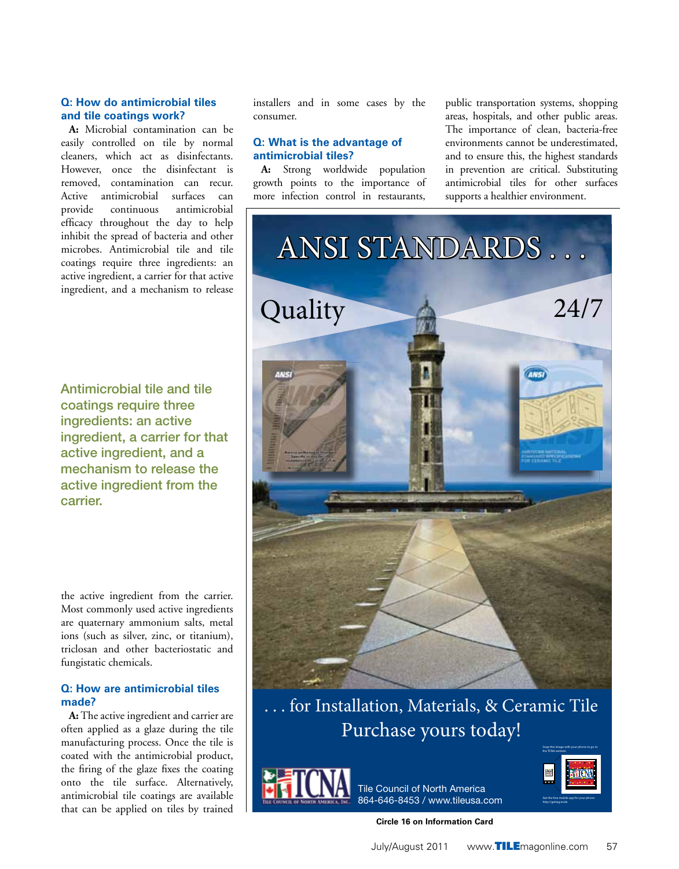### **Q: How do antimicrobial tiles and tile coatings work?**

**A:** Microbial contamination can be easily controlled on tile by normal cleaners, which act as disinfectants. However, once the disinfectant is removed, contamination can recur. Active antimicrobial surfaces can provide continuous antimicrobial efficacy throughout the day to help inhibit the spread of bacteria and other microbes. Antimicrobial tile and tile coatings require three ingredients: an active ingredient, a carrier for that active ingredient, and a mechanism to release

Antimicrobial tile and tile coatings require three ingredients: an active ingredient, a carrier for that active ingredient, and a mechanism to release the active ingredient from the carrier.

the active ingredient from the carrier. Most commonly used active ingredients are quaternary ammonium salts, metal ions (such as silver, zinc, or titanium), triclosan and other bacteriostatic and fungistatic chemicals.

#### **Q: How are antimicrobial tiles made?**

**A:** The active ingredient and carrier are often applied as a glaze during the tile manufacturing process. Once the tile is coated with the antimicrobial product, the firing of the glaze fixes the coating onto the tile surface. Alternatively, antimicrobial tile coatings are available that can be applied on tiles by trained

installers and in some cases by the consumer.

#### **Q: What is the advantage of antimicrobial tiles?**

**A:** Strong worldwide population growth points to the importance of more infection control in restaurants,

public transportation systems, shopping areas, hospitals, and other public areas. The importance of clean, bacteria-free environments cannot be underestimated, and to ensure this, the highest standards in prevention are critical. Substituting antimicrobial tiles for other surfaces supports a healthier environment.



for Installation, Materials, & Ceramic Tile Purchase yours today!



Tile Council of North America 864-646-8453 / www.tileusa.com



**Circle 16 on Information Card**